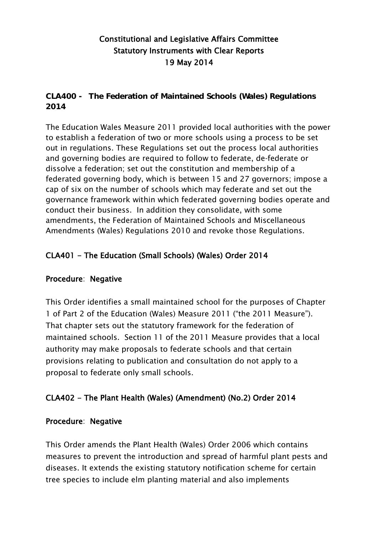# Constitutional and Legislative Affairs Committee Statutory Instruments with Clear Reports 19 May 2014

**CLA400 - The Federation of Maintained Schools (Wales) Regulations 2014**

The Education Wales Measure 2011 provided local authorities with the power to establish a federation of two or more schools using a process to be set out in regulations. These Regulations set out the process local authorities and governing bodies are required to follow to federate, de-federate or dissolve a federation; set out the constitution and membership of a federated governing body, which is between 15 and 27 governors; impose a cap of six on the number of schools which may federate and set out the governance framework within which federated governing bodies operate and conduct their business. In addition they consolidate, with some amendments, the Federation of Maintained Schools and Miscellaneous Amendments (Wales) Regulations 2010 and revoke those Regulations.

## CLA401 - The Education (Small Schools) (Wales) Order 2014

#### Procedure: Negative

This Order identifies a small maintained school for the purposes of Chapter 1 of Part 2 of the Education (Wales) Measure 2011 ("the 2011 Measure"). That chapter sets out the statutory framework for the federation of maintained schools. Section 11 of the 2011 Measure provides that a local authority may make proposals to federate schools and that certain provisions relating to publication and consultation do not apply to a proposal to federate only small schools.

### CLA402 - The Plant Health (Wales) (Amendment) (No.2) Order 2014

#### Procedure: Negative

This Order amends the Plant Health (Wales) Order 2006 which contains measures to prevent the introduction and spread of harmful plant pests and diseases. It extends the existing statutory notification scheme for certain tree species to include elm planting material and also implements